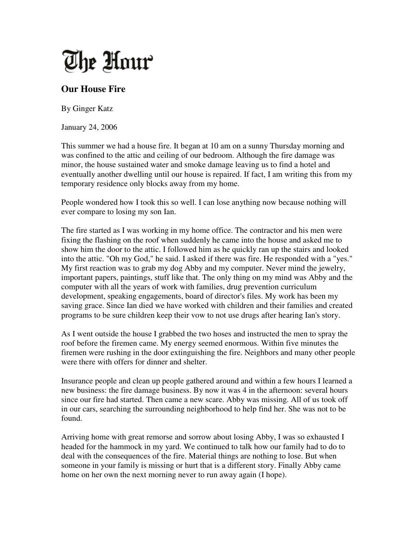

## **Our House Fire**

By Ginger Katz

January 24, 2006

This summer we had a house fire. It began at 10 am on a sunny Thursday morning and was confined to the attic and ceiling of our bedroom. Although the fire damage was minor, the house sustained water and smoke damage leaving us to find a hotel and eventually another dwelling until our house is repaired. If fact, I am writing this from my temporary residence only blocks away from my home.

People wondered how I took this so well. I can lose anything now because nothing will ever compare to losing my son Ian.

The fire started as I was working in my home office. The contractor and his men were fixing the flashing on the roof when suddenly he came into the house and asked me to show him the door to the attic. I followed him as he quickly ran up the stairs and looked into the attic. "Oh my God," he said. I asked if there was fire. He responded with a "yes." My first reaction was to grab my dog Abby and my computer. Never mind the jewelry, important papers, paintings, stuff like that. The only thing on my mind was Abby and the computer with all the years of work with families, drug prevention curriculum development, speaking engagements, board of director's files. My work has been my saving grace. Since Ian died we have worked with children and their families and created programs to be sure children keep their vow to not use drugs after hearing Ian's story.

As I went outside the house I grabbed the two hoses and instructed the men to spray the roof before the firemen came. My energy seemed enormous. Within five minutes the firemen were rushing in the door extinguishing the fire. Neighbors and many other people were there with offers for dinner and shelter.

Insurance people and clean up people gathered around and within a few hours I learned a new business: the fire damage business. By now it was 4 in the afternoon: several hours since our fire had started. Then came a new scare. Abby was missing. All of us took off in our cars, searching the surrounding neighborhood to help find her. She was not to be found.

Arriving home with great remorse and sorrow about losing Abby, I was so exhausted I headed for the hammock in my yard. We continued to talk how our family had to do to deal with the consequences of the fire. Material things are nothing to lose. But when someone in your family is missing or hurt that is a different story. Finally Abby came home on her own the next morning never to run away again (I hope).